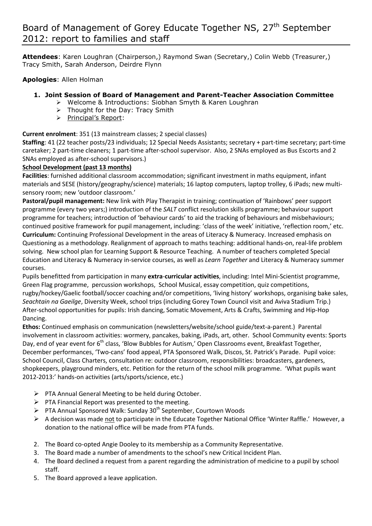**Attendees**: Karen Loughran (Chairperson,) Raymond Swan (Secretary,) Colin Webb (Treasurer,) Tracy Smith, Sarah Anderson, Deirdre Flynn

**Apologies**: Allen Holman

## **1. Joint Session of Board of Management and Parent-Teacher Association Committee**

- Welcome & Introductions: Siobhan Smyth & Karen Loughran
- $\triangleright$  Thought for the Day: Tracy Smith
- > Principal's Report:

## **Current enrolment**: 351 (13 mainstream classes; 2 special classes)

**Staffing**: 41 (22 teacher posts/23 individuals; 12 Special Needs Assistants; secretary + part-time secretary; part-time caretaker; 2 part-time cleaners; 1 part-time after-school supervisor. Also, 2 SNAs employed as Bus Escorts and 2 SNAs employed as after-school supervisors.)

## **School Development (past 13 months)**

**Facilities**: furnished additional classroom accommodation; significant investment in maths equipment, infant materials and SESE (history/geography/science) materials; 16 laptop computers, laptop trolley, 6 iPads; new multisensory room; new 'outdoor classroom.'

**Pastoral/pupil management:** New link with Play Therapist in training; continuation of 'Rainbows' peer support programme (every two years;) introduction of the *SALT* conflict resolution skills programme; behaviour support programme for teachers; introduction of 'behaviour cards' to aid the tracking of behaviours and misbehaviours; continued positive framework for pupil management, including: 'class of the week' initiative, 'reflection room,' etc. **Curriculum:** Continuing Professional Development in the areas of Literacy & Numeracy. Increased emphasis on Questioning as a methodology. Realignment of approach to maths teaching: additional hands-on, real-life problem solving. New school plan for Learning Support & Resource Teaching. A number of teachers completed Special Education and Literacy & Numeracy in-service courses, as well as *Learn Together* and Literacy & Numeracy summer courses.

Pupils benefitted from participation in many **extra**-**curricular activities**, including: Intel Mini-Scientist programme, Green Flag programme, percussion workshops, School Musical, essay competition, quiz competitions, rugby/hockey/Gaelic football/soccer coaching and/or competitions, 'living history' workshops, organising bake sales, *Seachtain na Gaeilge*, Diversity Week, school trips (including Gorey Town Council visit and Aviva Stadium Trip.) After-school opportunities for pupils: Irish dancing, Somatic Movement, Arts & Crafts, Swimming and Hip-Hop Dancing.

**Ethos:** Continued emphasis on communication (newsletters/website/school guide/text-a-parent.)Parental involvement in classroom activities: wormery, pancakes, baking, iPads, art, other. School Community events: Sports Day, end of year event for 6<sup>th</sup> class, 'Blow Bubbles for Autism,' Open Classrooms event, Breakfast Together, December performances, 'Two-cans' food appeal, PTA Sponsored Walk, Discos, St. Patrick's Parade.Pupil voice: School Council, Class Charters, consultation re: outdoor classroom, responsibilities: broadcasters, gardeners, shopkeepers, playground minders, etc. Petition for the return of the school milk programme. 'What pupils want 2012-2013:' hands-on activities (arts/sports/science, etc.)

- $\triangleright$  PTA Annual General Meeting to be held during October.
- $\triangleright$  PTA Financial Report was presented to the meeting.
- $\triangleright$  PTA Annual Sponsored Walk: Sunday 30<sup>th</sup> September, Courtown Woods
- $\triangleright$  A decision was made not to participate in the Educate Together National Office 'Winter Raffle.' However, a donation to the national office will be made from PTA funds.
- 2. The Board co-opted Angie Dooley to its membership as a Community Representative.
- 3. The Board made a number of amendments to the school's new Critical Incident Plan.
- 4. The Board declined a request from a parent regarding the administration of medicine to a pupil by school staff.
- 5. The Board approved a leave application.